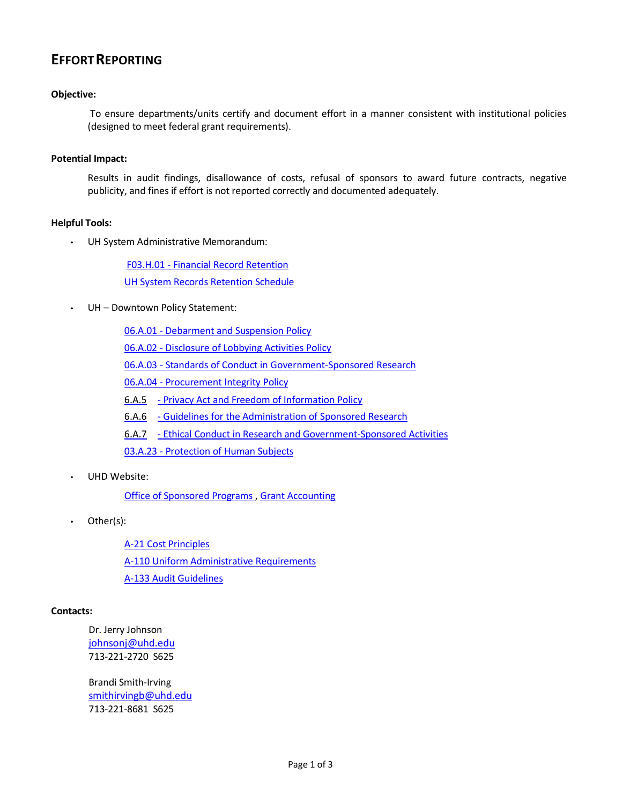# **EFFORTREPORTING**

### **Objective:**

To ensure departments/units certify and document effort in a manner consistent with institutional policies (designed to meet federal grant requirements).

#### **Potential Impact:**

Results in audit findings, disallowance of costs, refusal of sponsors to award future contracts, negative publicity, and fines if effort is not reported correctly and documented adequately.

#### **Helpful Tools:**

• UH System Administrative Memorandum:

F03.H.01 - Financial Record [Retention](http://www.uhsa.uh.edu/sam/3FicsalAffairs/3H1.pdf) [UH System Records](http://www.uh.edu/finance/references/Record_Retention/Retention_Sch_6-7-04C.pdf) Retention Schedule

UH - Downtown Policy Statement:

06.A.01 - [Debarment](http://www.uhd.edu/about/hr/PS06A01.pdf) and Suspension Policy 06.A.02 - [Disclosure of](http://www.uhd.edu/about/hr/PS06A02.pdf) Lobbying Activities Policy 06.A.03 - Standards of Conduct in [Government-Sponsored Research](http://www.uhd.edu/about/hr/PS06A03.pdf) 06.A.04 - Procurement [Integrity Policy](http://www.uhd.edu/about/hr/PS06A04.pdf) 6.A.5 - Privacy Act and Freedom [of Information](http://www.uhd.edu/about/hr/PS06A05.pdf) Policy 6.A.6 - Guidelines for the [Administration of Sponsored](http://www.uhd.edu/about/hr/PS06A06.pdf) Research 6.A.7 - Ethical Conduct in Research and [Government-Sponsored Activities](http://www.uhd.edu/about/hr/PS06A07.pdf)

- 03.A.23 [Protection](http://www.uhd.edu/about/hr/PS03A23.pdf) of Human Subjects
- UHD Website:

Office of [Sponsored Programs](http://www.uhd.edu/about/irp/OSP/Index.html) , Grant [Accounting](http://www.uhd.edu/facultyandstaff/busaff/GrantAccounting.html)

• Other(s):

[A-21 Cost](http://www.whitehouse.gov/omb/circulars/a021/a21_2004.html) Principles A-110 Uniform [Administrative Requirements](http://www.whitehouse.gov/omb/circulars/a110/a110.html) [A-133 Audit](http://www.whitehouse.gov/omb/circulars/a133/a133.html) Guidelines

#### **Contacts:**

Dr. Jerry Johnson [johnsonj@uhd.edu](mailto:johnsonj@uhd.edu) 713-221-2720 S625

Brandi Smith-Irving [smithirvingb@uhd.edu](mailto:smithirvingb@uhd.edu) 713-221-8681 S625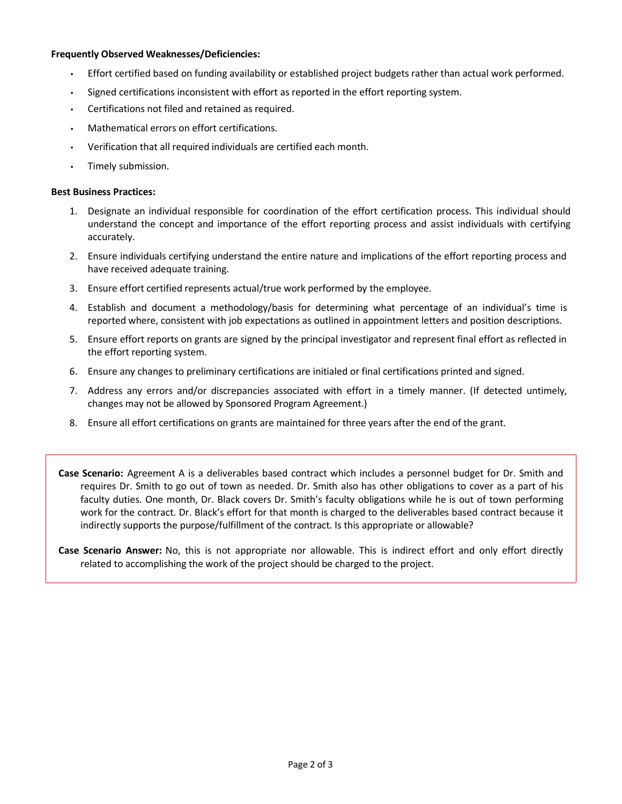#### **Frequently Observed Weaknesses/Deficiencies:**

- Effort certified based on funding availability or established project budgets rather than actual work performed.
- Signed certifications inconsistent with effort as reported in the effort reporting system.
- Certifications not filed and retained as required.
- Mathematical errors on effort certifications.
- Verification that all required individuals are certified each month.
- Timely submission.

#### **Best Business Practices:**

- 1. Designate an individual responsible for coordination of the effort certification process. This individual should understand the concept and importance of the effort reporting process and assist individuals with certifying accurately.
- 2. Ensure individuals certifying understand the entire nature and implications of the effort reporting process and have received adequate training.
- 3. Ensure effort certified represents actual/true work performed by the employee.
- 4. Establish and document a methodology/basis for determining what percentage of an individual's time is reported where, consistent with job expectations as outlined in appointment letters and position descriptions.
- 5. Ensure effort reports on grants are signed by the principal investigator and represent final effort as reflected in the effort reporting system.
- 6. Ensure any changes to preliminary certifications are initialed or final certifications printed and signed.
- 7. Address any errors and/or discrepancies associated with effort in a timely manner. (If detected untimely, changes may not be allowed by Sponsored Program Agreement.)
- 8. Ensure all effort certifications on grants are maintained for three years after the end of the grant.

**Case Scenario:** Agreement A is a deliverables based contract which includes a personnel budget for Dr. Smith and requires Dr. Smith to go out of town as needed. Dr. Smith also has other obligations to cover as a part of his faculty duties. One month, Dr. Black covers Dr. Smith's faculty obligations while he is out of town performing work for the contract. Dr. Black's effort for that month is charged to the deliverables based contract because it indirectly supports the purpose/fulfillment of the contract. Is this appropriate or allowable?

**Case Scenario Answer:** No, this is not appropriate nor allowable. This is indirect effort and only effort directly related to accomplishing the work of the project should be charged to the project.